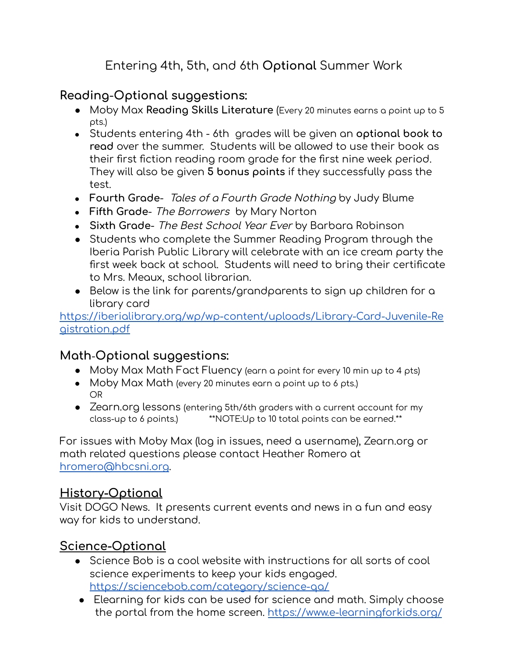# Entering 4th, 5th, and 6th **Optional** Summer Work

### **Reading**-**Optional suggestions:**

- Moby Max **Reading Skills Literature** (Every 20 minutes earns a point up to 5 pts.)
- Students entering 4th 6th grades will be given an **optional book to read** over the summer. Students will be allowed to use their book as their first fiction reading room grade for the first nine week period. They will also be given **5 bonus points** if they successfully pass the test.
- **Fourth Grade** Tales of <sup>a</sup> Fourth Grade Nothing by Judy Blume
- **Fifth Grade** The Borrowers by Mary Norton
- **Sixth Grade** The Best School Year Ever by Barbara Robinson
- Students who complete the Summer Reading Program through the Iberia Parish Public Library will celebrate with an ice cream party the first week back at school. Students will need to bring their certificate to Mrs. Meaux, school librarian.
- Below is the link for parents/grandparents to sign up children for a library card

[https://iberialibrary.org/wp/wp-content/uploads/Library-Card-Juvenile-Re](https://iberialibrary.org/wp/wp-content/uploads/Library-Card-Juvenile-Registration.pdf) [gistration.pdf](https://iberialibrary.org/wp/wp-content/uploads/Library-Card-Juvenile-Registration.pdf)

### **Math**-**Optional suggestions:**

- Moby Max Math Fact Fluency (earn a point for every 10 min up to 4 pts)
- Moby Max Math (every 20 minutes earn a point up to 6 pts.) OR
- Zearn.org lessons (entering 5th/6th graders with a current account for my class-up to 6 points.) \*\*NOTE:Up to 10 total points can be earned.\*\*

For issues with Moby Max (log in issues, need a username), Zearn.org or math related questions please contact Heather Romero at [hromero@hbcsni.org.](mailto:hromero@hbcsni.org)

### **History-Optional**

Visit DOGO News. It presents current events and news in a fun and easy way for kids to understand.

### **Science-Optional**

- Science Bob is a cool website with instructions for all sorts of cool science experiments to keep your kids engaged. <https://sciencebob.com/category/science-qa/>
- Elearning for kids can be used for science and math. Simply choose the portal from the home screen. <https://www.e-learningforkids.org/>